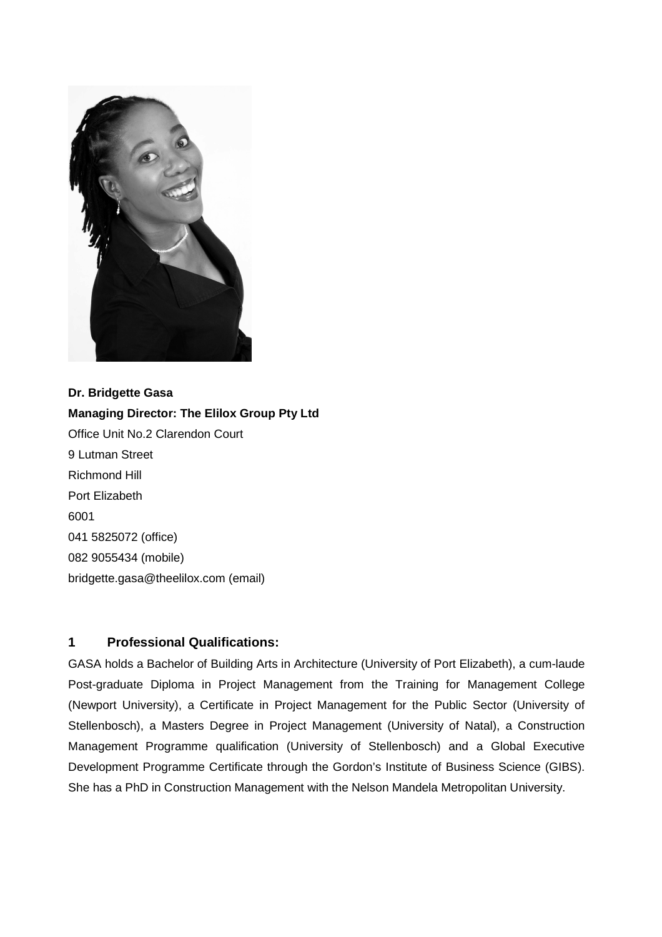

**Dr. Bridgette Gasa Managing Director: The Elilox Group Pty Ltd**  Office Unit No.2 Clarendon Court 9 Lutman Street Richmond Hill Port Elizabeth 6001 041 5825072 (office) 082 9055434 (mobile) bridgette.gasa@theelilox.com (email)

# **1 Professional Qualifications:**

GASA holds a Bachelor of Building Arts in Architecture (University of Port Elizabeth), a cum-laude Post-graduate Diploma in Project Management from the Training for Management College (Newport University), a Certificate in Project Management for the Public Sector (University of Stellenbosch), a Masters Degree in Project Management (University of Natal), a Construction Management Programme qualification (University of Stellenbosch) and a Global Executive Development Programme Certificate through the Gordon's Institute of Business Science (GIBS). She has a PhD in Construction Management with the Nelson Mandela Metropolitan University.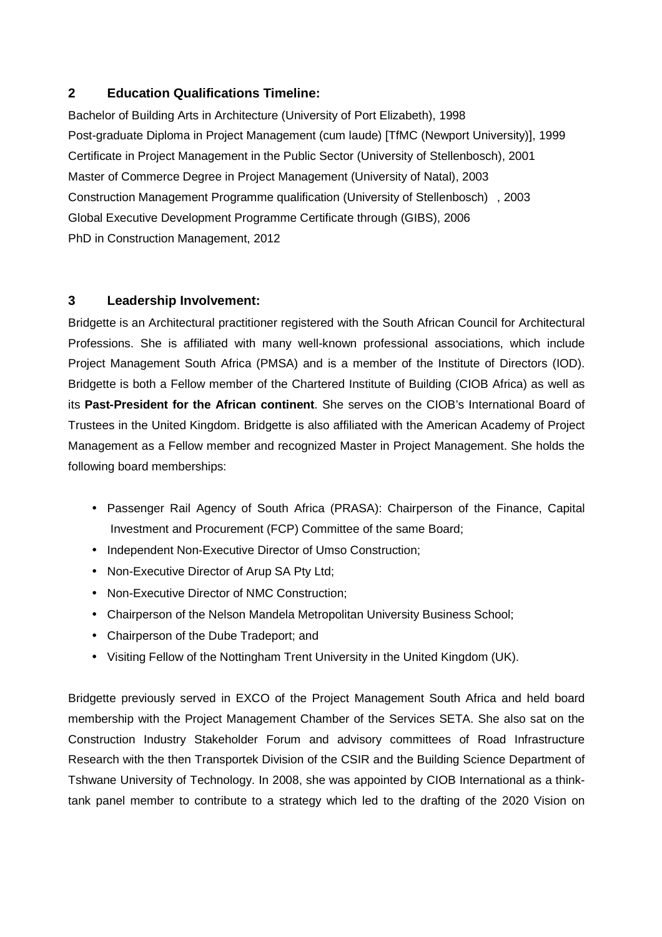# **2 Education Qualifications Timeline:**

Bachelor of Building Arts in Architecture (University of Port Elizabeth), 1998 Post-graduate Diploma in Project Management (cum laude) [TfMC (Newport University)], 1999 Certificate in Project Management in the Public Sector (University of Stellenbosch), 2001 Master of Commerce Degree in Project Management (University of Natal), 2003 Construction Management Programme qualification (University of Stellenbosch) , 2003 Global Executive Development Programme Certificate through (GIBS), 2006 PhD in Construction Management, 2012

### **3 Leadership Involvement:**

Bridgette is an Architectural practitioner registered with the South African Council for Architectural Professions. She is affiliated with many well-known professional associations, which include Project Management South Africa (PMSA) and is a member of the Institute of Directors (IOD). Bridgette is both a Fellow member of the Chartered Institute of Building (CIOB Africa) as well as its **Past-President for the African continent**. She serves on the CIOB's International Board of Trustees in the United Kingdom. Bridgette is also affiliated with the American Academy of Project Management as a Fellow member and recognized Master in Project Management. She holds the following board memberships:

- Passenger Rail Agency of South Africa (PRASA): Chairperson of the Finance, Capital Investment and Procurement (FCP) Committee of the same Board;
- Independent Non-Executive Director of Umso Construction;
- Non-Executive Director of Arup SA Pty Ltd;
- Non-Executive Director of NMC Construction;
- Chairperson of the Nelson Mandela Metropolitan University Business School;
- Chairperson of the Dube Tradeport; and
- Visiting Fellow of the Nottingham Trent University in the United Kingdom (UK).

Bridgette previously served in EXCO of the Project Management South Africa and held board membership with the Project Management Chamber of the Services SETA. She also sat on the Construction Industry Stakeholder Forum and advisory committees of Road Infrastructure Research with the then Transportek Division of the CSIR and the Building Science Department of Tshwane University of Technology. In 2008, she was appointed by CIOB International as a thinktank panel member to contribute to a strategy which led to the drafting of the 2020 Vision on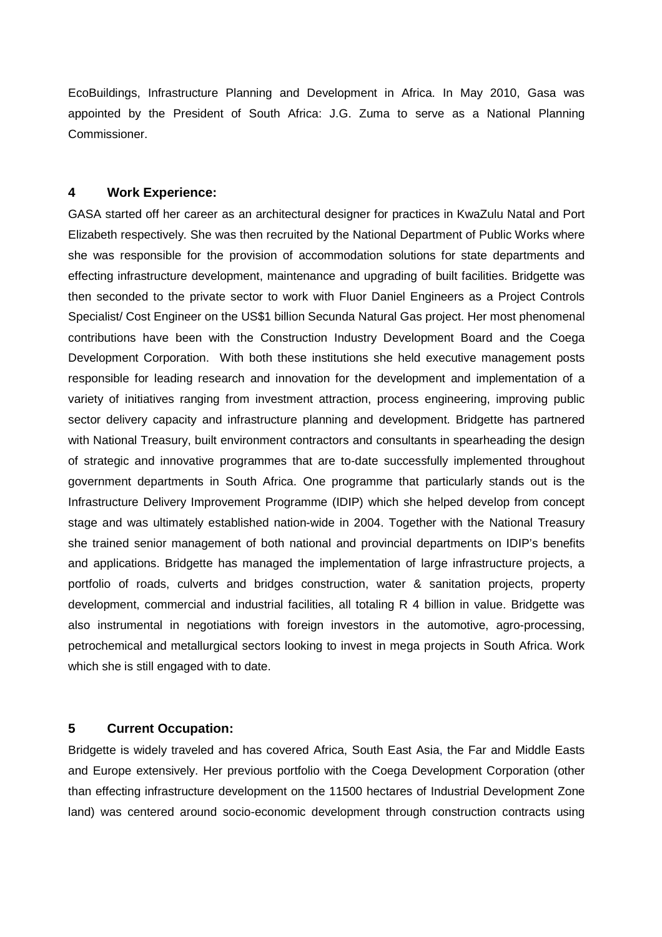EcoBuildings, Infrastructure Planning and Development in Africa. In May 2010, Gasa was appointed by the President of South Africa: J.G. Zuma to serve as a National Planning Commissioner.

#### **4 Work Experience:**

GASA started off her career as an architectural designer for practices in KwaZulu Natal and Port Elizabeth respectively. She was then recruited by the National Department of Public Works where she was responsible for the provision of accommodation solutions for state departments and effecting infrastructure development, maintenance and upgrading of built facilities. Bridgette was then seconded to the private sector to work with Fluor Daniel Engineers as a Project Controls Specialist/ Cost Engineer on the US\$1 billion Secunda Natural Gas project. Her most phenomenal contributions have been with the Construction Industry Development Board and the Coega Development Corporation. With both these institutions she held executive management posts responsible for leading research and innovation for the development and implementation of a variety of initiatives ranging from investment attraction, process engineering, improving public sector delivery capacity and infrastructure planning and development. Bridgette has partnered with National Treasury, built environment contractors and consultants in spearheading the design of strategic and innovative programmes that are to-date successfully implemented throughout government departments in South Africa. One programme that particularly stands out is the Infrastructure Delivery Improvement Programme (IDIP) which she helped develop from concept stage and was ultimately established nation-wide in 2004. Together with the National Treasury she trained senior management of both national and provincial departments on IDIP's benefits and applications. Bridgette has managed the implementation of large infrastructure projects, a portfolio of roads, culverts and bridges construction, water & sanitation projects, property development, commercial and industrial facilities, all totaling R 4 billion in value. Bridgette was also instrumental in negotiations with foreign investors in the automotive, agro-processing, petrochemical and metallurgical sectors looking to invest in mega projects in South Africa. Work which she is still engaged with to date.

### **5 Current Occupation:**

Bridgette is widely traveled and has covered Africa, South East Asia, the Far and Middle Easts and Europe extensively. Her previous portfolio with the Coega Development Corporation (other than effecting infrastructure development on the 11500 hectares of Industrial Development Zone land) was centered around socio-economic development through construction contracts using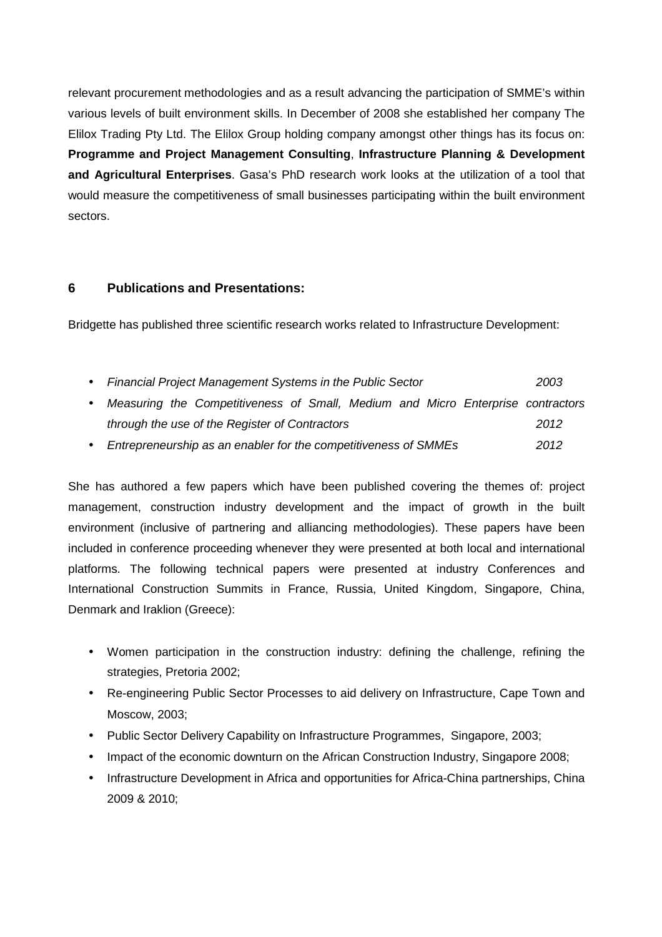relevant procurement methodologies and as a result advancing the participation of SMME's within various levels of built environment skills. In December of 2008 she established her company The Elilox Trading Pty Ltd. The Elilox Group holding company amongst other things has its focus on: **Programme and Project Management Consulting**, **Infrastructure Planning & Development and Agricultural Enterprises**. Gasa's PhD research work looks at the utilization of a tool that would measure the competitiveness of small businesses participating within the built environment sectors.

### **6 Publications and Presentations:**

Bridgette has published three scientific research works related to Infrastructure Development:

| <b>Financial Project Management Systems in the Public Sector</b>                | 2003 |
|---------------------------------------------------------------------------------|------|
| Measuring the Competitiveness of Small, Medium and Micro Enterprise contractors |      |
| through the use of the Register of Contractors                                  | 2012 |
| Entrepreneurship as an enabler for the competitiveness of SMMEs                 | 2012 |

She has authored a few papers which have been published covering the themes of: project management, construction industry development and the impact of growth in the built environment (inclusive of partnering and alliancing methodologies). These papers have been included in conference proceeding whenever they were presented at both local and international platforms. The following technical papers were presented at industry Conferences and International Construction Summits in France, Russia, United Kingdom, Singapore, China, Denmark and Iraklion (Greece):

- Women participation in the construction industry: defining the challenge, refining the strategies, Pretoria 2002;
- Re-engineering Public Sector Processes to aid delivery on Infrastructure, Cape Town and Moscow, 2003;
- Public Sector Delivery Capability on Infrastructure Programmes, Singapore, 2003;
- Impact of the economic downturn on the African Construction Industry, Singapore 2008;
- Infrastructure Development in Africa and opportunities for Africa-China partnerships, China 2009 & 2010;